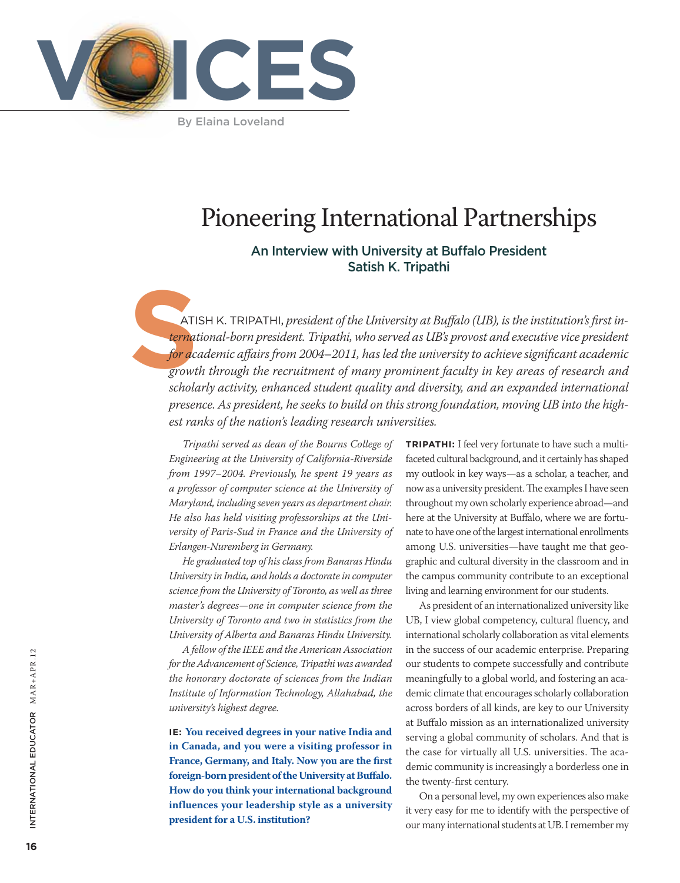

By Elaina Loveland

# Pioneering International Partnerships

## An Interview with University at Buffalo President Satish K. Tripathi

**S** atish K. Tripathi, *president of the University at Buffalo (UB), is the institution's first international-born president. Tripathi, who served as UB's provost and executive vice president for academic affairs from 2004–2011, has led the university to achieve significant academic growth through the recruitment of many prominent faculty in key areas of research and scholarly activity, enhanced student quality and diversity, and an expanded international presence. As president, he seeks to build on this strong foundation, moving UB into the highest ranks of the nation's leading research universities.*

*Tripathi served as dean of the Bourns College of Engineering at the University of California-Riverside from 1997–2004. Previously, he spent 19 years as a professor of computer science at the University of Maryland, including seven years as department chair. He also has held visiting professorships at the University of Paris-Sud in France and the University of Erlangen-Nuremberg in Germany.*

*He graduated top of his class from Banaras Hindu University in India, and holds a doctorate in computer science from the University of Toronto, as well as three master's degrees—one in computer science from the University of Toronto and two in statistics from the University of Alberta and Banaras Hindu University.*

*A fellow of the IEEE and the American Association for the Advancement of Science, Tripathi was awarded the honorary doctorate of sciences from the Indian Institute of Information Technology, Allahabad, the university's highest degree.*

**IE: You received degrees in your native India and in Canada, and you were a visiting professor in France, Germany, and Italy. Now you are the first foreign-born president of the University at Buffalo. How do you think your international background influences your leadership style as a university president for a U.S. institution?**

**TRIPATHI:** I feel very fortunate to have such a multifaceted cultural background, and it certainly has shaped my outlook in key ways—as a scholar, a teacher, and now as a university president. The examples I have seen throughout my own scholarly experience abroad—and here at the University at Buffalo, where we are fortunate to have one of the largest international enrollments among U.S. universities—have taught me that geographic and cultural diversity in the classroom and in the campus community contribute to an exceptional living and learning environment for our students.

As president of an internationalized university like UB, I view global competency, cultural fluency, and international scholarly collaboration as vital elements in the success of our academic enterprise. Preparing our students to compete successfully and contribute meaningfully to a global world, and fostering an academic climate that encourages scholarly collaboration across borders of all kinds, are key to our University at Buffalo mission as an internationalized university serving a global community of scholars. And that is the case for virtually all U.S. universities. The academic community is increasingly a borderless one in the twenty-first century.

On a personal level, my own experiences also make it very easy for me to identify with the perspective of our many international students at UB. I remember my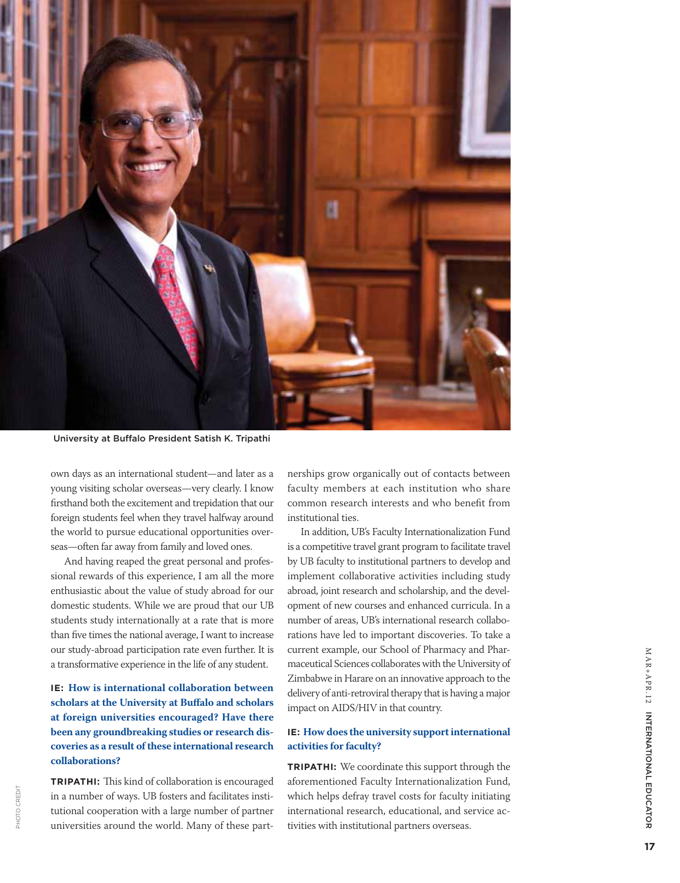

University at Buffalo President Satish K. Tripathi

own days as an international student—and later as a young visiting scholar overseas—very clearly. I know firsthand both the excitement and trepidation that our foreign students feel when they travel halfway around the world to pursue educational opportunities overseas—often far away from family and loved ones.

And having reaped the great personal and professional rewards of this experience, I am all the more enthusiastic about the value of study abroad for our domestic students. While we are proud that our UB students study internationally at a rate that is more than five times the national average, I want to increase our study-abroad participation rate even further. It is a transformative experience in the life of any student.

## **IE: How is international collaboration between scholars at the University at Buffalo and scholars at foreign universities encouraged? Have there been any groundbreaking studies or research discoveries as a result of these international research collaborations?**

**Tripathi:** This kind of collaboration is encouraged in a number of ways. UB fosters and facilitates institutional cooperation with a large number of partner universities around the world. Many of these part-

PHOTO CREDIT PHOTO CREDIT

nerships grow organically out of contacts between faculty members at each institution who share common research interests and who benefit from institutional ties.

In addition, UB's Faculty Internationalization Fund is a competitive travel grant program to facilitate travel by UB faculty to institutional partners to develop and implement collaborative activities including study abroad, joint research and scholarship, and the development of new courses and enhanced curricula. In a number of areas, UB's international research collaborations have led to important discoveries. To take a current example, our School of Pharmacy and Pharmaceutical Sciences collaborates with the University of Zimbabwe in Harare on an innovative approach to the delivery of anti-retroviral therapy that is having a major impact on AIDS/HIV in that country.

#### **IE: How does the university support international activities for faculty?**

**Tripathi:** We coordinate this support through the aforementioned Faculty Internationalization Fund, which helps defray travel costs for faculty initiating international research, educational, and service activities with institutional partners overseas.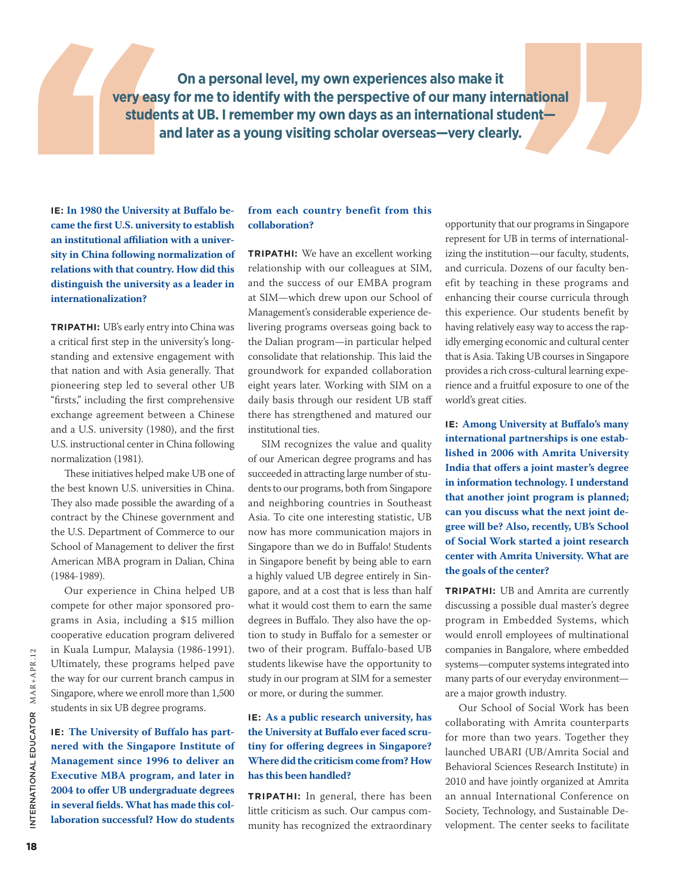**On a personal level, my own experiences also make it very easy for me to identify with the perspective of our many international students at UB. I remember my own days as an international student and later as a young visiting scholar overseas—very clearly.** 

**IE: In 1980 the University at Buffalo became the first U.S. university to establish an institutional affiliation with a university in China following normalization of relations with that country. How did this distinguish the university as a leader in internationalization?**

**Tripathi:** UB's early entry into China was a critical first step in the university's longstanding and extensive engagement with that nation and with Asia generally. That pioneering step led to several other UB "firsts," including the first comprehensive exchange agreement between a Chinese and a U.S. university (1980), and the first U.S. instructional center in China following normalization (1981).

These initiatives helped make UB one of the best known U.S. universities in China. They also made possible the awarding of a contract by the Chinese government and the U.S. Department of Commerce to our School of Management to deliver the first American MBA program in Dalian, China (1984-1989).

Our experience in China helped UB compete for other major sponsored programs in Asia, including a \$15 million cooperative education program delivered in Kuala Lumpur, Malaysia (1986-1991). Ultimately, these programs helped pave the way for our current branch campus in Singapore, where we enroll more than 1,500 students in six UB degree programs.

**IE: The University of Buffalo has partnered with the Singapore Institute of Management since 1996 to deliver an Executive MBA program, and later in 2004 to offer UB undergraduate degrees in several fields. What has made this collaboration successful? How do students** 

#### **from each country benefit from this collaboration?**

**TRIPATHI:** We have an excellent working relationship with our colleagues at SIM, and the success of our EMBA program at SIM—which drew upon our School of Management's considerable experience delivering programs overseas going back to the Dalian program—in particular helped consolidate that relationship. This laid the groundwork for expanded collaboration eight years later. Working with SIM on a daily basis through our resident UB staff there has strengthened and matured our institutional ties.

SIM recognizes the value and quality of our American degree programs and has succeeded in attracting large number of students to our programs, both from Singapore and neighboring countries in Southeast Asia. To cite one interesting statistic, UB now has more communication majors in Singapore than we do in Buffalo! Students in Singapore benefit by being able to earn a highly valued UB degree entirely in Singapore, and at a cost that is less than half what it would cost them to earn the same degrees in Buffalo. They also have the option to study in Buffalo for a semester or two of their program. Buffalo-based UB students likewise have the opportunity to study in our program at SIM for a semester or more, or during the summer.

#### **IE: As a public research university, has the University at Buffalo ever faced scrutiny for offering degrees in Singapore? Where did the criticism come from? How has this been handled?**

**Tripathi:** In general, there has been little criticism as such. Our campus community has recognized the extraordinary opportunity that our programs in Singapore represent for UB in terms of internationalizing the institution—our faculty, students, and curricula. Dozens of our faculty benefit by teaching in these programs and enhancing their course curricula through this experience. Our students benefit by having relatively easy way to access the rapidly emerging economic and cultural center that is Asia. Taking UB courses in Singapore provides a rich cross-cultural learning experience and a fruitful exposure to one of the world's great cities.

**IE: Among University at Buffalo's many international partnerships is one established in 2006 with Amrita University India that offers a joint master's degree in information technology. I understand that another joint program is planned; can you discuss what the next joint degree will be? Also, recently, UB's School of Social Work started a joint research center with Amrita University. What are the goals of the center?**

**Tripathi:** UB and Amrita are currently discussing a possible dual master's degree program in Embedded Systems, which would enroll employees of multinational companies in Bangalore, where embedded systems—computer systems integrated into many parts of our everyday environment are a major growth industry.

Our School of Social Work has been collaborating with Amrita counterparts for more than two years. Together they launched UBARI (UB/Amrita Social and Behavioral Sciences Research Institute) in 2010 and have jointly organized at Amrita an annual International Conference on Society, Technology, and Sustainable Development. The center seeks to facilitate